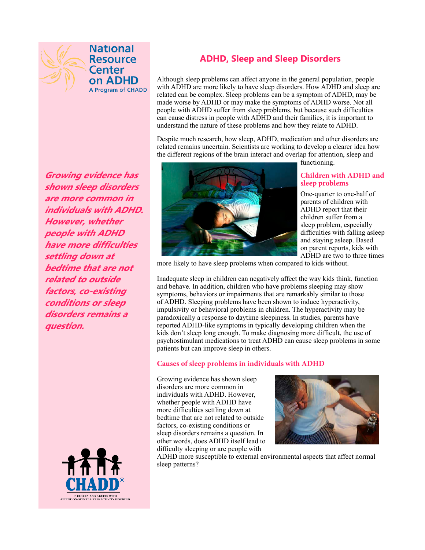

**National Resource Center** on ADHD A Program of CHADD

**Growing evidence has shown sleep disorders are more common in individuals with ADHD. However, whether people with ADHD have more diffculties settling down at bedtime that are not related to outside factors, co-existing conditions or sleep disorders remains a question.**



# **ADHD, Sleep and Sleep Disorders**

Although sleep problems can affect anyone in the general population, people with ADHD are more likely to have sleep disorders. How ADHD and sleep are related can be complex. Sleep problems can be a symptom of ADHD, may be made worse by ADHD or may make the symptoms of ADHD worse. Not all people with ADHD suffer from sleep problems, but because such diffculties can cause distress in people with ADHD and their families, it is important to understand the nature of these problems and how they relate to ADHD.

Despite much research, how sleep, ADHD, medication and other disorders are related remains uncertain. Scientists are working to develop a clearer idea how the different regions of the brain interact and overlap for attention, sleep and



functioning.

#### **Children with ADHD and sleep problems**

One-quarter to one-half of parents of children with ADHD report that their children suffer from a sleep problem, especially diffculties with falling asleep and staying asleep. Based on parent reports, kids with ADHD are two to three times

more likely to have sleep problems when compared to kids without.

Inadequate sleep in children can negatively affect the way kids think, function and behave. In addition, children who have problems sleeping may show symptoms, behaviors or impairments that are remarkably similar to those of ADHD. Sleeping problems have been shown to induce hyperactivity, impulsivity or behavioral problems in children. The hyperactivity may be paradoxically a response to daytime sleepiness. In studies, parents have reported ADHD-like symptoms in typically developing children when the kids don't sleep long enough. To make diagnosing more diffcult, the use of psychostimulant medications to treat ADHD can cause sleep problems in some patients but can improve sleep in others.

#### **Causes of sleep problems in individuals with ADHD**

Growing evidence has shown sleep disorders are more common in individuals with ADHD. However, whether people with ADHD have more diffculties settling down at bedtime that are not related to outside factors, co-existing conditions or sleep disorders remains a question. In other words, does ADHD itself lead to diffculty sleeping or are people with



ADHD more susceptible to external environmental aspects that affect normal sleep patterns?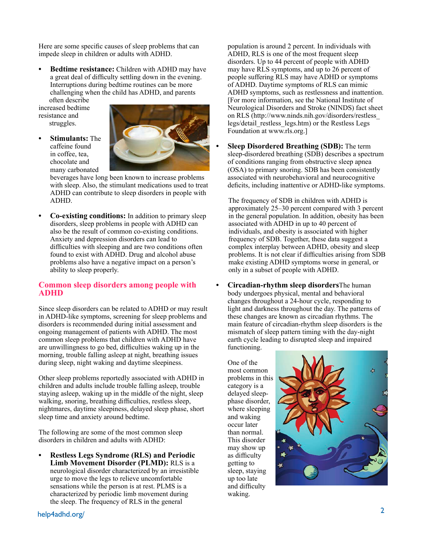Here are some specifc causes of sleep problems that can impede sleep in children or adults with ADHD.

**Bedtime resistance:** Children with ADHD may have a great deal of diffculty settling down in the evening. Interruptions during bedtime routines can be more challenging when the child has ADHD, and parents often describe

increased bedtime resistance and struggles.





beverages have long been known to increase problems with sleep. Also, the stimulant medications used to treat ADHD can contribute to sleep disorders in people with ADHD.

**Co-existing conditions:** In addition to primary sleep disorders, sleep problems in people with ADHD can also be the result of common co-existing conditions. Anxiety and depression disorders can lead to difficulties with sleeping and are two conditions often found to exist with ADHD. Drug and alcohol abuse problems also have a negative impact on a person's ability to sleep properly.

### **Common sleep disorders among people with ADHD**

Since sleep disorders can be related to ADHD or may result in ADHD-like symptoms, screening for sleep problems and disorders is recommended during initial assessment and ongoing management of patients with ADHD. The most common sleep problems that children with ADHD have are unwillingness to go bed, diffculties waking up in the morning, trouble falling asleep at night, breathing issues during sleep, night waking and daytime sleepiness.

Other sleep problems reportedly associated with ADHD in children and adults include trouble falling asleep, trouble staying asleep, waking up in the middle of the night, sleep walking, snoring, breathing difficulties, restless sleep, nightmares, daytime sleepiness, delayed sleep phase, short sleep time and anxiety around bedtime.

The following are some of the most common sleep disorders in children and adults with ADHD:

**• Restless Legs Syndrome (RLS) and Periodic Limb Movement Disorder (PLMD):** RLS is a neurological disorder characterized by an irresistible urge to move the legs to relieve uncomfortable sensations while the person is at rest. PLMS is a characterized by periodic limb movement during the sleep. The frequency of RLS in the general

population is around 2 percent. In individuals with ADHD, RLS is one of the most frequent sleep disorders. Up to 44 percent of people with ADHD may have RLS symptoms, and up to 26 percent of people suffering RLS may have ADHD or symptoms of ADHD. Daytime symptoms of RLS can mimic ADHD symptoms, such as restlessness and inattention. [For more information, see the National Institute of Neurological Disorders and Stroke (NINDS) fact sheet on RLS (http://www.ninds.nih.gov/disorders/restless\_ legs/detail\_restless\_legs.htm) or the Restless Legs Foundation at www.rls.org.]

**Sleep Disordered Breathing (SDB):** The term sleep-disordered breathing (SDB) describes a spectrum of conditions ranging from obstructive sleep apnea (OSA) to primary snoring. SDB has been consistently associated with neurobehavioral and neurocognitive deficits, including inattentive or ADHD-like symptoms.

 The frequency of SDB in children with ADHD is approximately 25–30 percent compared with 3 percent in the general population. In addition, obesity has been associated with ADHD in up to 40 percent of individuals, and obesity is associated with higher frequency of SDB. Together, these data suggest a complex interplay between ADHD, obesity and sleep problems. It is not clear if diffculties arising from SDB make existing ADHD symptoms worse in general, or only in a subset of people with ADHD.

**Circadian-rhythm sleep disorders**The human body undergoes physical, mental and behavioral changes throughout a 24-hour cycle, responding to light and darkness throughout the day. The patterns of these changes are known as circadian rhythms. The main feature of circadian-rhythm sleep disorders is the mismatch of sleep pattern timing with the day-night earth cycle leading to disrupted sleep and impaired functioning.

One of the most common problems in this category is a delayed sleepphase disorder, where sleeping and waking occur later than normal. This disorder may show up as difficulty getting to sleep, staying up too late and difficulty waking.



help4adhd.org/ <sup>2</sup>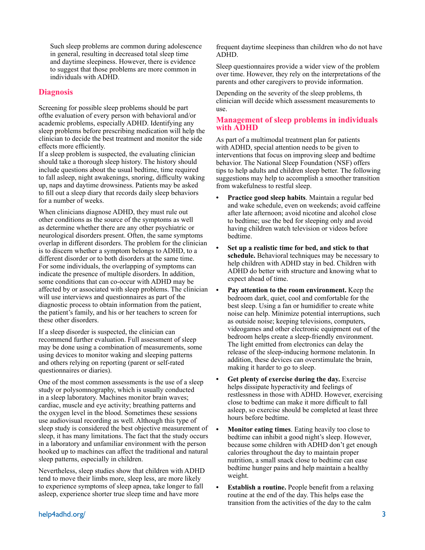Such sleep problems are common during adolescence in general, resulting in decreased total sleep time and daytime sleepiness. However, there is evidence to suggest that those problems are more common in individuals with ADHD.

# **Diagnosis**

Screening for possible sleep problems should be part ofthe evaluation of every person with behavioral and/or academic problems, especially ADHD. Identifying any sleep problems before prescribing medication will help the clinician to decide the best treatment and monitor the side effects more efficiently.

If a sleep problem is suspected, the evaluating clinician should take a thorough sleep history. The history should include questions about the usual bedtime, time required to fall asleep, night awakenings, snoring, diffculty waking up, naps and daytime drowsiness. Patients may be asked to fll out a sleep diary that records daily sleep behaviors for a number of weeks.

When clinicians diagnose ADHD, they must rule out other conditions as the source of the symptoms as well as determine whether there are any other psychiatric or neurological disorders present. Often, the same symptoms overlap in different disorders. The problem for the clinician is to discern whether a symptom belongs to ADHD, to a different disorder or to both disorders at the same time. For some individuals, the overlapping of symptoms can indicate the presence of multiple disorders. In addition, some conditions that can co-occur with ADHD may be affected by or associated with sleep problems. The clinician will use interviews and questionnaires as part of the diagnostic process to obtain information from the patient, the patient's family, and his or her teachers to screen for these other disorders.

If a sleep disorder is suspected, the clinician can recommend further evaluation. Full assessment of sleep may be done using a combination of measurements, some using devices to monitor waking and sleeping patterns and others relying on reporting (parent or self-rated questionnaires or diaries).

One of the most common assessments is the use of a sleep study or polysomnography, which is usually conducted in a sleep laboratory. Machines monitor brain waves; cardiac, muscle and eye activity; breathing patterns and the oxygen level in the blood. Sometimes these sessions use audiovisual recording as well. Although this type of sleep study is considered the best objective measurement of sleep, it has many limitations. The fact that the study occurs in a laboratory and unfamiliar environment with the person hooked up to machines can affect the traditional and natural sleep patterns, especially in children.

Nevertheless, sleep studies show that children with ADHD tend to move their limbs more, sleep less, are more likely to experience symptoms of sleep apnea, take longer to fall asleep, experience shorter true sleep time and have more

frequent daytime sleepiness than children who do not have ADHD.

Sleep questionnaires provide a wider view of the problem over time. However, they rely on the interpretations of the parents and other caregivers to provide information.

Depending on the severity of the sleep problems, th clinician will decide which assessment measurements to use.

## **Management of sleep problems in individuals with ADHD**

As part of a multimodal treatment plan for patients with ADHD, special attention needs to be given to interventions that focus on improving sleep and bedtime behavior. The National Sleep Foundation (NSF) offers tips to help adults and children sleep better. The following suggestions may help to accomplish a smoother transition from wakefulness to restful sleep.

- **Practice good sleep habits**. Maintain a regular bed and wake schedule, even on weekends; avoid caffeine after late afternoon; avoid nicotine and alcohol close to bedtime; use the bed for sleeping only and avoid having children watch television or videos before bedtime.
- **• Set up a realistic time for bed, and stick to that schedule.** Behavioral techniques may be necessary to help children with ADHD stay in bed. Children with ADHD do better with structure and knowing what to expect ahead of time.
- **• Pay attention to the room environment.** Keep the bedroom dark, quiet, cool and comfortable for the best sleep. Using a fan or humidifer to create white noise can help. Minimize potential interruptions, such as outside noise; keeping televisions, computers, videogames and other electronic equipment out of the bedroom helps create a sleep-friendly environment. The light emitted from electronics can delay the release of the sleep-inducing hormone melatonin. In addition, these devices can overstimulate the brain, making it harder to go to sleep.
- **• Get plenty of exercise during the day.** Exercise helps dissipate hyperactivity and feelings of restlessness in those with ADHD. However, exercising close to bedtime can make it more difficult to fall asleep, so exercise should be completed at least three hours before bedtime.
- **Monitor eating times**. Eating heavily too close to bedtime can inhibit a good night's sleep. However, because some children with ADHD don't get enough calories throughout the day to maintain proper nutrition, a small snack close to bedtime can ease bedtime hunger pains and help maintain a healthy weight.
- **• Establish a routine.** People beneft from a relaxing routine at the end of the day. This helps ease the transition from the activities of the day to the calm